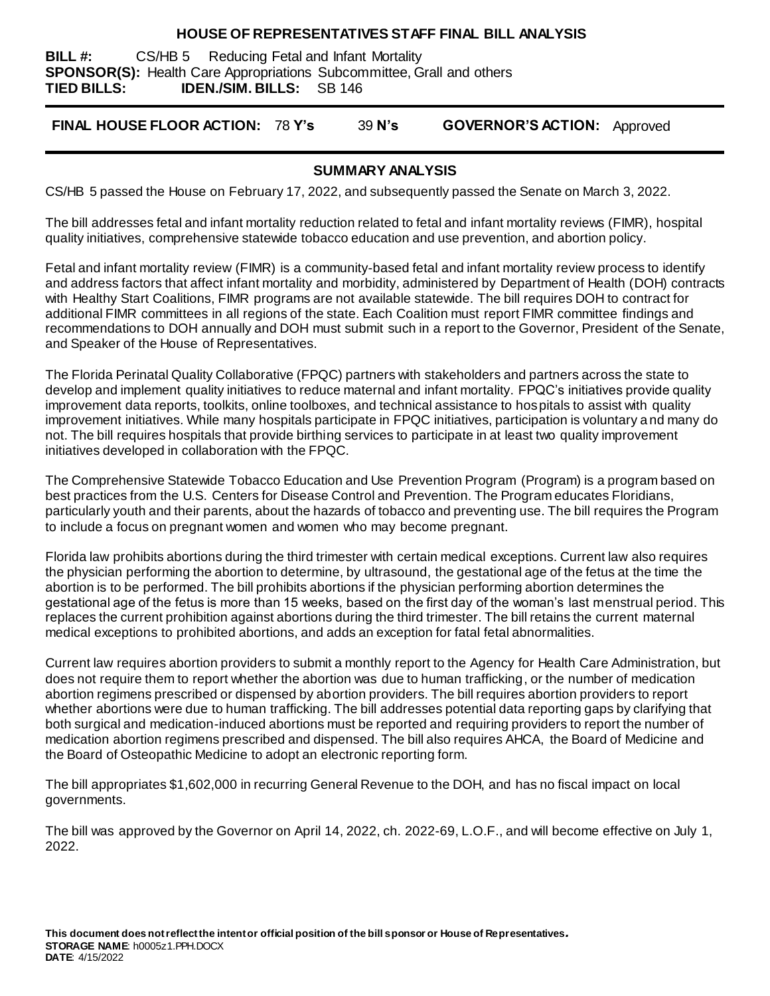#### **HOUSE OF REPRESENTATIVES STAFF FINAL BILL ANALYSIS**

**BILL #:** CS/HB 5 Reducing Fetal and Infant Mortality **SPONSOR(S):** Health Care Appropriations Subcommittee, Grall and others **TIED BILLS: IDEN./SIM. BILLS:** SB 146

**FINAL HOUSE FLOOR ACTION:** 78 **Y's** 39 **N's GOVERNOR'S ACTION:** Approved

#### **SUMMARY ANALYSIS**

CS/HB 5 passed the House on February 17, 2022, and subsequently passed the Senate on March 3, 2022.

The bill addresses fetal and infant mortality reduction related to fetal and infant mortality reviews (FIMR), hospital quality initiatives, comprehensive statewide tobacco education and use prevention, and abortion policy.

Fetal and infant mortality review (FIMR) is a community-based fetal and infant mortality review process to identify and address factors that affect infant mortality and morbidity, administered by Department of Health (DOH) contracts with Healthy Start Coalitions, FIMR programs are not available statewide. The bill requires DOH to contract for additional FIMR committees in all regions of the state. Each Coalition must report FIMR committee findings and recommendations to DOH annually and DOH must submit such in a report to the Governor, President of the Senate, and Speaker of the House of Representatives.

The Florida Perinatal Quality Collaborative (FPQC) partners with stakeholders and partners across the state to develop and implement quality initiatives to reduce maternal and infant mortality. FPQC's initiatives provide quality improvement data reports, toolkits, online toolboxes, and technical assistance to hospitals to assist with quality improvement initiatives. While many hospitals participate in FPQC initiatives, participation is voluntary a nd many do not. The bill requires hospitals that provide birthing services to participate in at least two quality improvement initiatives developed in collaboration with the FPQC.

The Comprehensive Statewide Tobacco Education and Use Prevention Program (Program) is a program based on best practices from the U.S. Centers for Disease Control and Prevention. The Program educates Floridians, particularly youth and their parents, about the hazards of tobacco and preventing use. The bill requires the Program to include a focus on pregnant women and women who may become pregnant.

Florida law prohibits abortions during the third trimester with certain medical exceptions. Current law also requires the physician performing the abortion to determine, by ultrasound, the gestational age of the fetus at the time the abortion is to be performed. The bill prohibits abortions if the physician performing abortion determines the gestational age of the fetus is more than 15 weeks, based on the first day of the woman's last menstrual period. This replaces the current prohibition against abortions during the third trimester. The bill retains the current maternal medical exceptions to prohibited abortions, and adds an exception for fatal fetal abnormalities.

Current law requires abortion providers to submit a monthly report to the Agency for Health Care Administration, but does not require them to report whether the abortion was due to human trafficking, or the number of medication abortion regimens prescribed or dispensed by abortion providers. The bill requires abortion providers to report whether abortions were due to human trafficking. The bill addresses potential data reporting gaps by clarifying that both surgical and medication-induced abortions must be reported and requiring providers to report the number of medication abortion regimens prescribed and dispensed. The bill also requires AHCA, the Board of Medicine and the Board of Osteopathic Medicine to adopt an electronic reporting form.

The bill appropriates \$1,602,000 in recurring General Revenue to the DOH, and has no fiscal impact on local governments.

The bill was approved by the Governor on April 14, 2022, ch. 2022-69, L.O.F., and will become effective on July 1, 2022.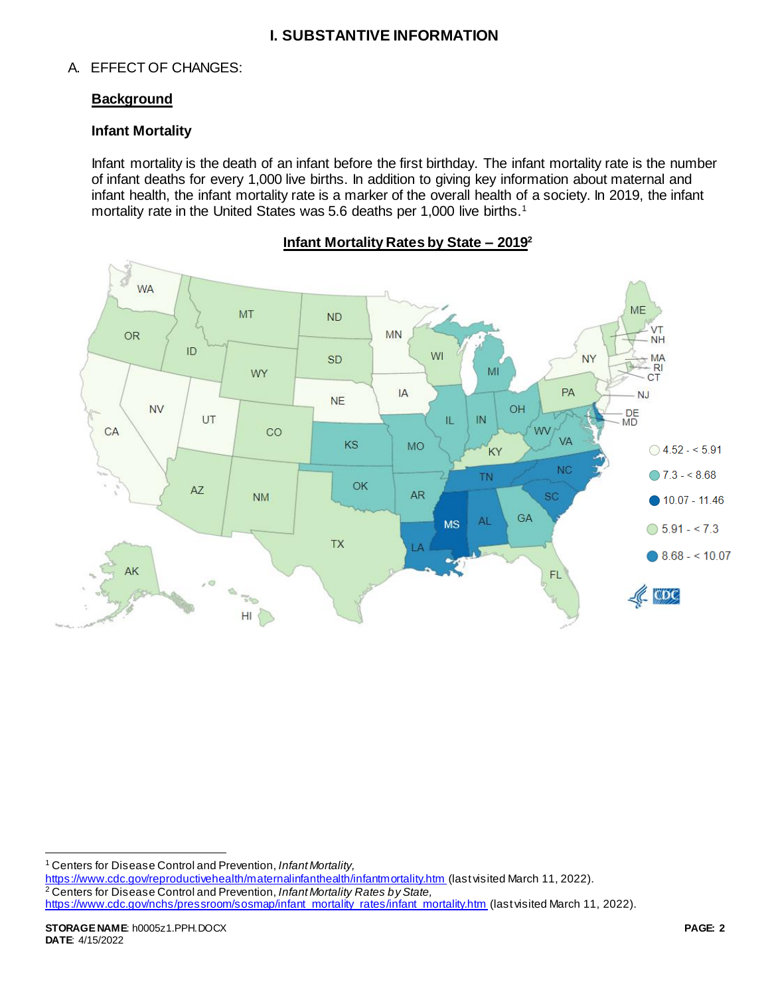## **I. SUBSTANTIVE INFORMATION**

## A. EFFECT OF CHANGES:

### **Background**

## **Infant Mortality**

Infant mortality is the death of an infant before the first birthday. The infant mortality rate is the number of infant deaths for every 1,000 live births. In addition to giving key information about maternal and infant health, the infant mortality rate is a marker of the overall health of a society. In 2019, the infant mortality rate in the United States was 5.6 deaths per 1,000 live births.<sup>1</sup>



**Infant Mortality Rates by State – 2019<sup>2</sup>**

<https://www.cdc.gov/reproductivehealth/maternalinfanthealth/infantmortality.htm> (last visited March 11, 2022). <sup>2</sup> Centers for Disease Control and Prevention, *Infant Mortality Rates by State,*  [https://www.cdc.gov/nchs/pressroom/sosmap/infant\\_mortality\\_rates/infant\\_mortality.htm](https://www.cdc.gov/nchs/pressroom/sosmap/infant_mortality_rates/infant_mortality.htm) (last visited March 11, 2022).

j <sup>1</sup> Centers for Disease Control and Prevention, *Infant Mortality,*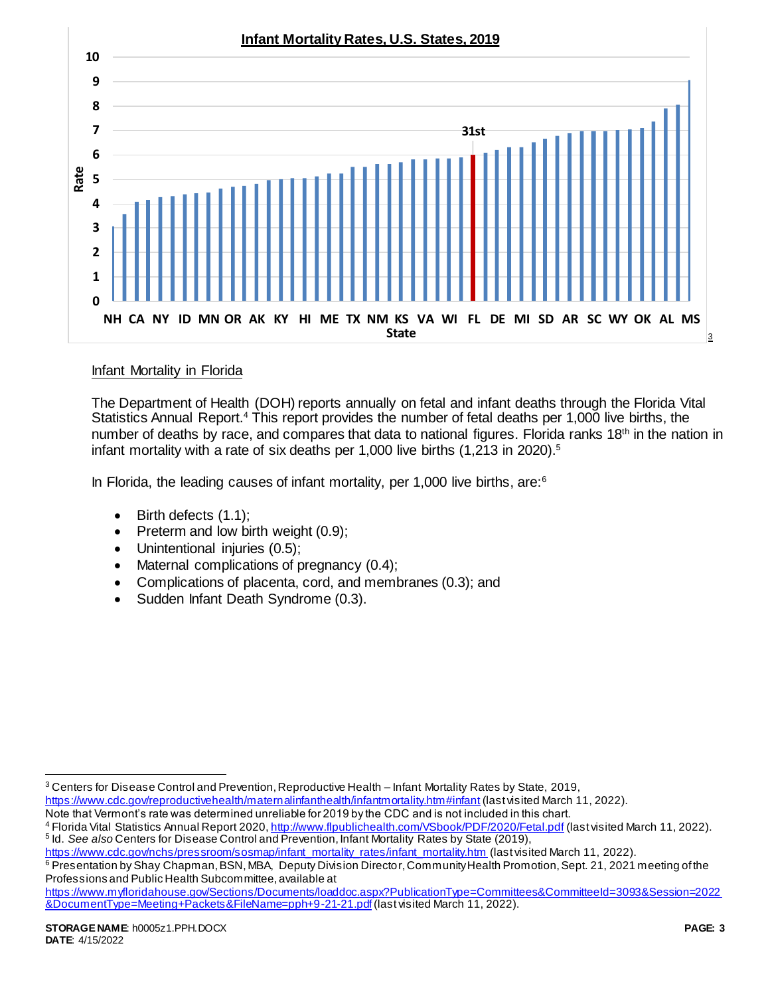

### Infant Mortality in Florida

The Department of Health (DOH) reports annually on fetal and infant deaths through the Florida Vital Statistics Annual Report.<sup>4</sup> This report provides the number of fetal deaths per 1,000 live births, the number of deaths by race, and compares that data to national figures. Florida ranks 18<sup>th</sup> in the nation in infant mortality with a rate of six deaths per 1,000 live births (1,213 in 2020).<sup>5</sup>

In Florida, the leading causes of infant mortality, per 1,000 live births, are:  $6\%$ 

- $\bullet$  Birth defects  $(1.1)$ ;
- Preterm and low birth weight (0.9);
- Unintentional injuries (0.5);
- Maternal complications of pregnancy (0.4);
- Complications of placenta, cord, and membranes (0.3); and
- Sudden Infant Death Syndrome (0.3).

l

<sup>3</sup> Centers for Disease Control and Prevention, Reproductive Health – Infant Mortality Rates by State, 2019,

<https://www.cdc.gov/reproductivehealth/maternalinfanthealth/infantmortality.htm#infant> (last visited March 11, 2022).

Note that Vermont's rate was determined unreliable for 2019 by the CDC and is not included in this chart.

<sup>4</sup> Florida Vital Statistics Annual Report 2020[, http://www.flpublichealth.com/VSbook/PDF/2020/Fetal.pdf](http://www.flpublichealth.com/VSbook/PDF/2020/Fetal.pdf) (last visited March 11, 2022). 5 Id. *See also* Centers for Disease Control and Prevention, Infant Mortality Rates by State (2019),

[https://www.cdc.gov/nchs/pressroom/sosmap/infant\\_mortality\\_rates/infant\\_mortality.htm](https://www.cdc.gov/nchs/pressroom/sosmap/infant_mortality_rates/infant_mortality.htm) (last visited March 11, 2022).

<sup>6</sup> Presentation by Shay Chapman, BSN, MBA, Deputy Division Director, Community Health Promotion, Sept. 21, 2021 meeting of the Professions and Public Health Subcommittee, available at

[https://www.myfloridahouse.gov/Sections/Documents/loaddoc.aspx?PublicationType=Committees&CommitteeId=3093&Session=2022](https://www.myfloridahouse.gov/Sections/Documents/loaddoc.aspx?PublicationType=Committees&CommitteeId=3093&Session=2022&DocumentType=Meeting+Packets&FileName=pph+9-21-21.pdf) [&DocumentType=Meeting+Packets&FileName=pph+9-21-21.pdf](https://www.myfloridahouse.gov/Sections/Documents/loaddoc.aspx?PublicationType=Committees&CommitteeId=3093&Session=2022&DocumentType=Meeting+Packets&FileName=pph+9-21-21.pdf)(last visited March 11, 2022).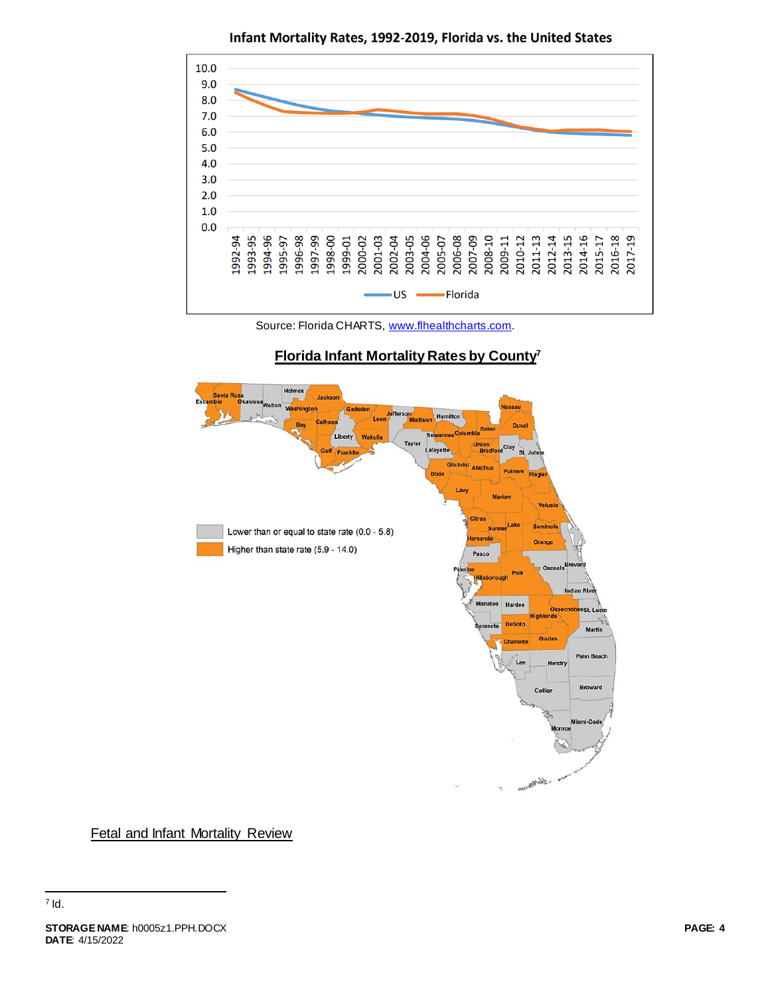

Infant Mortality Rates, 1992-2019, Florida vs. the United States

Source: Florida CHARTS, [www.flhealthcharts.com](http://www.flhealthcharts.com/).

### **Florida Infant Mortality Rates by County<sup>7</sup>**



Fetal and Infant Mortality Review

 $\overline{a}$  $^7$  Id.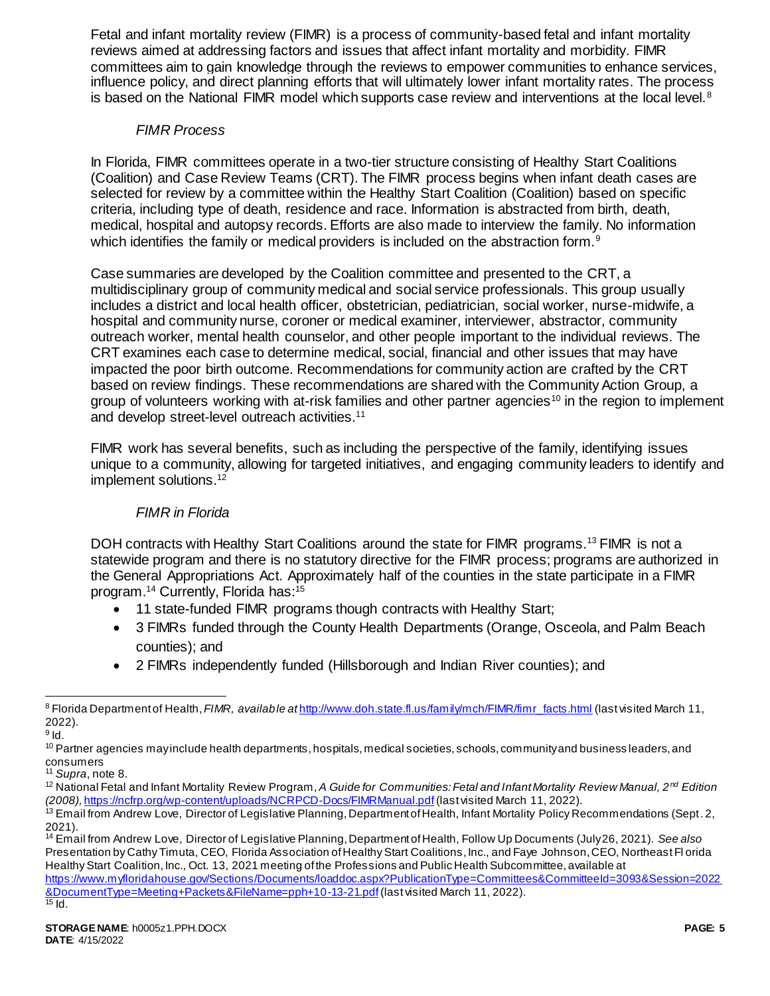Fetal and infant mortality review (FIMR) is a process of community-based fetal and infant mortality reviews aimed at addressing factors and issues that affect infant mortality and morbidity. FIMR committees aim to gain knowledge through the reviews to empower communities to enhance services, influence policy, and direct planning efforts that will ultimately lower infant mortality rates. The process is based on the National FIMR model which supports case review and interventions at the local level. $8$ 

### <span id="page-4-0"></span>*FIMR Process*

In Florida, FIMR committees operate in a two-tier structure consisting of Healthy Start Coalitions (Coalition) and Case Review Teams (CRT). The FIMR process begins when infant death cases are selected for review by a committee within the Healthy Start Coalition (Coalition) based on specific criteria, including type of death, residence and race. Information is abstracted from birth, death, medical, hospital and autopsy records. Efforts are also made to interview the family. No information which identifies the family or medical providers is included on the abstraction form.<sup>9</sup>

Case summaries are developed by the Coalition committee and presented to the CRT, a multidisciplinary group of community medical and social service professionals. This group usually includes a district and local health officer, obstetrician, pediatrician, social worker, nurse-midwife, a hospital and community nurse, coroner or medical examiner, interviewer, abstractor, community outreach worker, mental health counselor, and other people important to the individual reviews. The CRT examines each case to determine medical, social, financial and other issues that may have impacted the poor birth outcome. Recommendations for community action are crafted by the CRT based on review findings. These recommendations are shared with the Community Action Group, a group of volunteers working with at-risk families and other partner agencies<sup>10</sup> in the region to implement and develop street-level outreach activities.<sup>11</sup>

FIMR work has several benefits, such as including the perspective of the family, identifying issues unique to a community, allowing for targeted initiatives, and engaging community leaders to identify and implement solutions.<sup>12</sup>

## *FIMR in Florida*

DOH contracts with Healthy Start Coalitions around the state for FIMR programs.<sup>13</sup> FIMR is not a statewide program and there is no statutory directive for the FIMR process; programs are authorized in the General Appropriations Act. Approximately half of the counties in the state participate in a FIMR program.<sup>14</sup> Currently, Florida has:<sup>15</sup>

- 11 state-funded FIMR programs though contracts with Healthy Start;
- 3 FIMRs funded through the County Health Departments (Orange, Osceola, and Palm Beach counties); and
- 2 FIMRs independently funded (Hillsborough and Indian River counties); and

[https://www.myfloridahouse.gov/Sections/Documents/loaddoc.aspx?PublicationType=Committees&CommitteeId=3093&Session=2022](https://www.myfloridahouse.gov/Sections/Documents/loaddoc.aspx?PublicationType=Committees&CommitteeId=3093&Session=2022&DocumentType=Meeting+Packets&FileName=pph+10-13-21.pdf) [&DocumentType=Meeting+Packets&FileName=pph+10-13-21.pdf](https://www.myfloridahouse.gov/Sections/Documents/loaddoc.aspx?PublicationType=Committees&CommitteeId=3093&Session=2022&DocumentType=Meeting+Packets&FileName=pph+10-13-21.pdf)(last visited March 11, 2022).  $15$  Id.

 $\overline{a}$ 8 Florida Department of Health, FIMR, available at [http://www.doh.state.fl.us/family/mch/FIMR/fimr\\_facts.html](http://www.doh.state.fl.us/family/mch/FIMR/fimr_facts.html) (last visited March 11, 2022).

 $^9$  ld.

<sup>&</sup>lt;sup>10</sup> Partner agencies may include health departments, hospitals, medical societies, schools, community and business leaders, and consumers

<sup>11</sup> *Supra*, note [8.](#page-4-0)

<sup>12</sup> National Fetal and Infant Mortality Review Program, *A Guide for Communities: Fetal and Infant Mortality Review Manual, 2nd Edition (2008),* <https://ncfrp.org/wp-content/uploads/NCRPCD-Docs/FIMRManual.pdf>(last visited March 11, 2022).

<sup>&</sup>lt;sup>13</sup> Email from Andrew Love, Director of Legislative Planning, Department of Health, Infant Mortality Policy Recommendations (Sept. 2, 2021).

<sup>14</sup> Email from Andrew Love, Director of Legislative Planning, Department of Health, Follow Up Documents (July 26, 2021). *See also* Presentation by Cathy Timuta, CEO, Florida Association of Healthy Start Coalitions, Inc., and Faye Johnson, CEO, Northeast Fl orida Healthy Start Coalition, Inc., Oct. 13, 2021 meeting of the Professions and Public Health Subcommittee, available at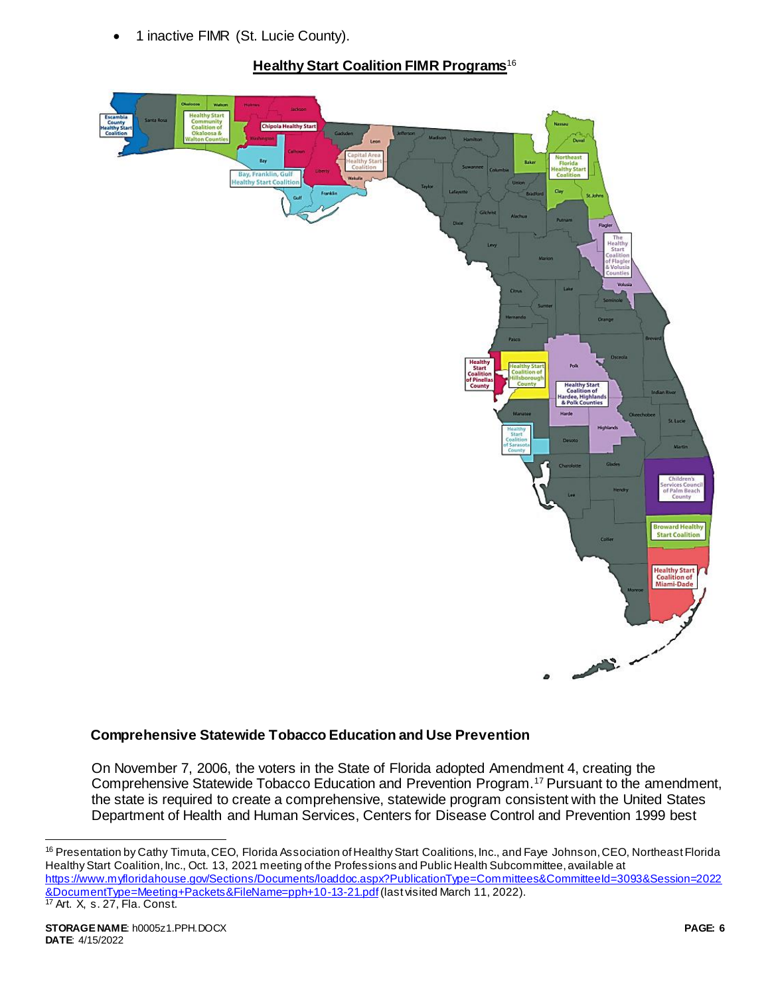1 inactive FIMR (St. Lucie County).

# **Healthy Start Coalition FIMR Programs**<sup>16</sup>



## **Comprehensive Statewide Tobacco Education and Use Prevention**

On November 7, 2006, the voters in the State of Florida adopted Amendment 4, creating the Comprehensive Statewide Tobacco Education and Prevention Program.<sup>17</sup> Pursuant to the amendment, the state is required to create a comprehensive, statewide program consistent with the United States Department of Health and Human Services, Centers for Disease Control and Prevention 1999 best

l

<sup>16</sup> Presentation by Cathy Timuta, CEO, Florida Association of Healthy Start Coalitions, Inc., and Faye Johnson, CEO, Northeast Florida Healthy Start Coalition, Inc., Oct. 13, 2021 meeting of the Professions and Public Health Subcommittee, available at [https://www.myfloridahouse.gov/Sections/Documents/loaddoc.aspx?PublicationType=Committees&CommitteeId=3093&Session=2022](https://www.myfloridahouse.gov/Sections/Documents/loaddoc.aspx?PublicationType=Committees&CommitteeId=3093&Session=2022&DocumentType=Meeting+Packets&FileName=pph+10-13-21.pdf) [&DocumentType=Meeting+Packets&FileName=pph+10-13-21.pdf](https://www.myfloridahouse.gov/Sections/Documents/loaddoc.aspx?PublicationType=Committees&CommitteeId=3093&Session=2022&DocumentType=Meeting+Packets&FileName=pph+10-13-21.pdf)(last visited March 11, 2022). <sup>17</sup> Art. X, s. 27, Fla. Const.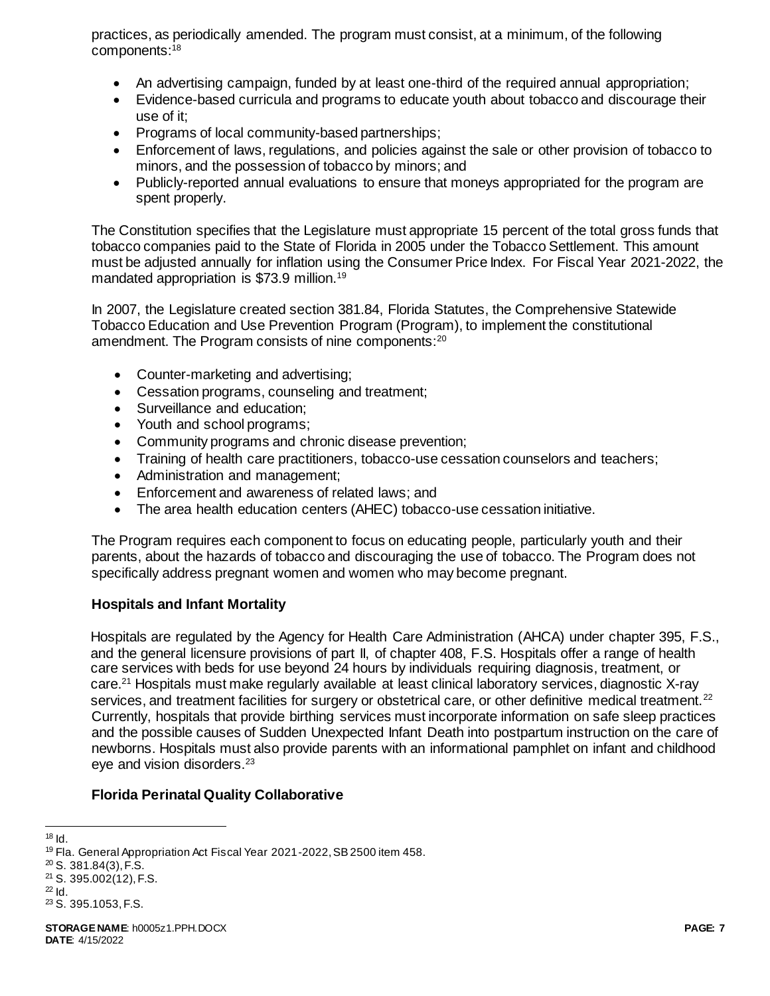practices, as periodically amended. The program must consist, at a minimum, of the following components:<sup>18</sup>

- An advertising campaign, funded by at least one-third of the required annual appropriation;
- Evidence-based curricula and programs to educate youth about tobacco and discourage their use of it;
- Programs of local community-based partnerships;
- Enforcement of laws, regulations, and policies against the sale or other provision of tobacco to minors, and the possession of tobacco by minors; and
- Publicly-reported annual evaluations to ensure that moneys appropriated for the program are spent properly.

The Constitution specifies that the Legislature must appropriate 15 percent of the total gross funds that tobacco companies paid to the State of Florida in 2005 under the Tobacco Settlement. This amount must be adjusted annually for inflation using the Consumer Price Index. For Fiscal Year 2021-2022, the mandated appropriation is \$73.9 million.<sup>19</sup>

In 2007, the Legislature created section 381.84, Florida Statutes, the Comprehensive Statewide Tobacco Education and Use Prevention Program (Program), to implement the constitutional amendment. The Program consists of nine components:<sup>20</sup>

- Counter-marketing and advertising;
- Cessation programs, counseling and treatment;
- Surveillance and education:
- Youth and school programs;
- Community programs and chronic disease prevention;
- Training of health care practitioners, tobacco-use cessation counselors and teachers;
- Administration and management;
- Enforcement and awareness of related laws; and
- The area health education centers (AHEC) tobacco-use cessation initiative.

The Program requires each component to focus on educating people, particularly youth and their parents, about the hazards of tobacco and discouraging the use of tobacco. The Program does not specifically address pregnant women and women who may become pregnant.

### **Hospitals and Infant Mortality**

Hospitals are regulated by the Agency for Health Care Administration (AHCA) under chapter 395, F.S., and the general licensure provisions of part II, of chapter 408, F.S. Hospitals offer a range of health care services with beds for use beyond 24 hours by individuals requiring diagnosis, treatment, or care.<sup>21</sup> Hospitals must make regularly available at least clinical laboratory services, diagnostic X-ray services, and treatment facilities for surgery or obstetrical care, or other definitive medical treatment.<sup>22</sup> Currently, hospitals that provide birthing services must incorporate information on safe sleep practices and the possible causes of Sudden Unexpected Infant Death into postpartum instruction on the care of newborns. Hospitals must also provide parents with an informational pamphlet on infant and childhood eye and vision disorders.<sup>23</sup>

### **Florida Perinatal Quality Collaborative**

l  $18$  Id.

<sup>&</sup>lt;sup>19</sup> Fla. General Appropriation Act Fiscal Year 2021-2022, SB 2500 item 458.

<sup>20</sup> S. 381.84(3), F.S.

<sup>21</sup> S. 395.002(12), F.S.

<sup>22</sup> Id.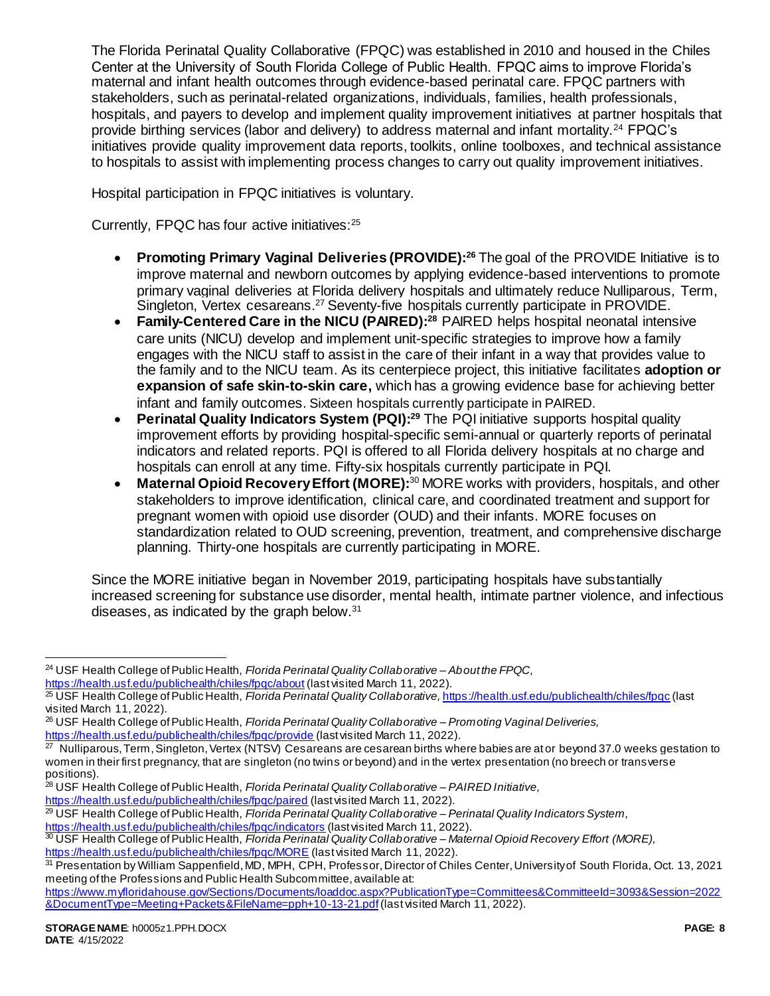The Florida Perinatal Quality Collaborative (FPQC) was established in 2010 and housed in the Chiles Center at the University of South Florida College of Public Health. FPQC aims to improve Florida's maternal and infant health outcomes through evidence-based perinatal care. FPQC partners with stakeholders, such as perinatal-related organizations, individuals, families, health professionals, hospitals, and payers to develop and implement quality improvement initiatives at partner hospitals that provide birthing services (labor and delivery) to address maternal and infant mortality.<sup>24</sup> FPQC's initiatives provide quality improvement data reports, toolkits, online toolboxes, and technical assistance to hospitals to assist with implementing process changes to carry out quality improvement initiatives.

Hospital participation in FPQC initiatives is voluntary.

Currently, FPQC has four active initiatives:<sup>25</sup>

- **Promoting Primary Vaginal Deliveries (PROVIDE):<sup>26</sup> The goal of the PROVIDE Initiative is to** improve maternal and newborn outcomes by applying evidence-based interventions to promote primary vaginal deliveries at Florida delivery hospitals and ultimately reduce Nulliparous, Term, Singleton, Vertex cesareans.<sup>27</sup> Seventy-five hospitals currently participate in PROVIDE.
- **Family-Centered Care in the NICU (PAIRED):<sup>28</sup>** PAIRED helps hospital neonatal intensive care units (NICU) develop and implement unit-specific strategies to improve how a family engages with the NICU staff to assist in the care of their infant in a way that provides value to the family and to the NICU team. As its centerpiece project, this initiative facilitates **adoption or expansion of safe skin-to-skin care,** which has a growing evidence base for achieving better infant and family outcomes. Sixteen hospitals currently participate in PAIRED.
- **Perinatal Quality Indicators System (PQI):<sup>29</sup> The PQI initiative supports hospital quality** improvement efforts by providing hospital-specific semi-annual or quarterly reports of perinatal indicators and related reports. PQI is offered to all Florida delivery hospitals at no charge and hospitals can enroll at any time. Fifty-six hospitals currently participate in PQI.
- **Maternal Opioid Recovery Effort (MORE):**<sup>30</sup> MORE works with providers, hospitals, and other stakeholders to improve identification, clinical care, and coordinated treatment and support for pregnant women with opioid use disorder (OUD) and their infants. MORE focuses on standardization related to OUD screening, prevention, treatment, and comprehensive discharge planning. Thirty-one hospitals are currently participating in MORE.

Since the MORE initiative began in November 2019, participating hospitals have substantially increased screening for substance use disorder, mental health, intimate partner violence, and infectious diseases, as indicated by the graph below.<sup>31</sup>

<https://health.usf.edu/publichealth/chiles/fpqc/paired> (last visited March 11, 2022).

- <sup>29</sup> USF Health College of Public Health, *Florida Perinatal Quality Collaborative – Perinatal Quality Indicators System,*
- <https://health.usf.edu/publichealth/chiles/fpqc/indicators> (last visited March 11, 2022).

 $\overline{a}$ 

<sup>24</sup> USF Health College of Public Health, *Florida Perinatal Quality Collaborative – About the FPQC,* 

<https://health.usf.edu/publichealth/chiles/fpqc/about> (last visited March 11, 2022).

<sup>25</sup> USF Health College of Public Health, *Florida Perinatal Quality Collaborative,* <https://health.usf.edu/publichealth/chiles/fpqc> (last visited March 11, 2022).

<sup>26</sup> USF Health College of Public Health, *Florida Perinatal Quality Collaborative – Promoting Vaginal Deliveries,*  <https://health.usf.edu/publichealth/chiles/fpqc/provide> (last visited March 11, 2022).

 $27$  Nulliparous, Term, Singleton, Vertex (NTSV) Cesareans are cesarean births where babies are at or beyond 37.0 weeks gestation to women in their first pregnancy, that are singleton (no twins or beyond) and in the vertex presentation (no breech or transverse positions).

<sup>28</sup> USF Health College of Public Health, *Florida Perinatal Quality Collaborative – PAIRED Initiative,* 

<sup>30</sup> USF Health College of Public Health, *Florida Perinatal Quality Collaborative – Maternal Opioid Recovery Effort (MORE),* 

<https://health.usf.edu/publichealth/chiles/fpqc/MORE> (last visited March 11, 2022).

<sup>31</sup> Presentation by William Sappenfield, MD, MPH, CPH, Professor, Director of Chiles Center, University of South Florida, Oct. 13, 2021 meeting of the Professions and Public Health Subcommittee, available at:

[https://www.myfloridahouse.gov/Sections/Documents/loaddoc.aspx?PublicationType=Committees&CommitteeId=3093&Session=2022](https://www.myfloridahouse.gov/Sections/Documents/loaddoc.aspx?PublicationType=Committees&CommitteeId=3093&Session=2022&DocumentType=Meeting+Packets&FileName=pph+10-13-21.pdf) [&DocumentType=Meeting+Packets&FileName=pph+10-13-21.pdf](https://www.myfloridahouse.gov/Sections/Documents/loaddoc.aspx?PublicationType=Committees&CommitteeId=3093&Session=2022&DocumentType=Meeting+Packets&FileName=pph+10-13-21.pdf)(last visited March 11, 2022).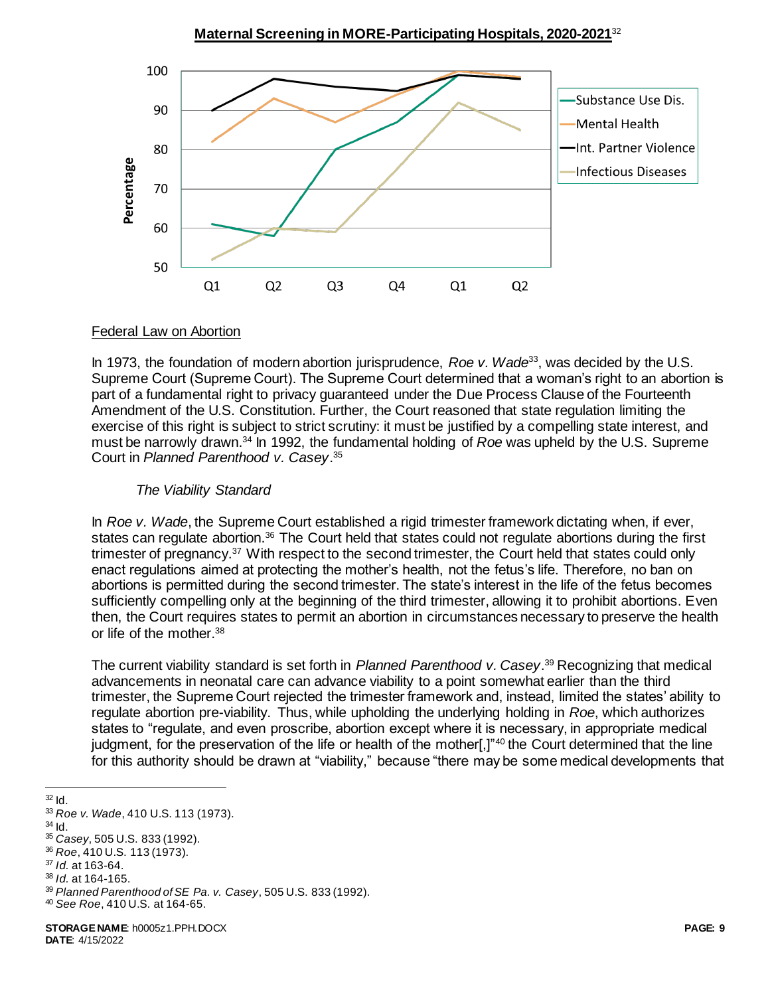**Maternal Screening in MORE-Participating Hospitals, 2020-2021**<sup>32</sup>



#### Federal Law on Abortion

In 1973, the foundation of modern abortion jurisprudence, *Roe v. Wade*<sup>33</sup>, was decided by the U.S. Supreme Court (Supreme Court). The Supreme Court determined that a woman's right to an abortion is part of a fundamental right to privacy guaranteed under the Due Process Clause of the Fourteenth Amendment of the U.S. Constitution. Further, the Court reasoned that state regulation limiting the exercise of this right is subject to strict scrutiny: it must be justified by a compelling state interest, and must be narrowly drawn.<sup>34</sup> In 1992, the fundamental holding of *Roe* was upheld by the U.S. Supreme Court in *Planned Parenthood v. Casey*. 35

### *The Viability Standard*

In *Roe v. Wade*, the Supreme Court established a rigid trimester framework dictating when, if ever, states can regulate abortion.<sup>36</sup> The Court held that states could not regulate abortions during the first trimester of pregnancy.<sup>37</sup> With respect to the second trimester, the Court held that states could only enact regulations aimed at protecting the mother's health, not the fetus's life. Therefore, no ban on abortions is permitted during the second trimester. The state's interest in the life of the fetus becomes sufficiently compelling only at the beginning of the third trimester, allowing it to prohibit abortions. Even then, the Court requires states to permit an abortion in circumstances necessary to preserve the health or life of the mother.<sup>38</sup>

The current viability standard is set forth in *Planned Parenthood v. Casey*. <sup>39</sup> Recognizing that medical advancements in neonatal care can advance viability to a point somewhat earlier than the third trimester, the Supreme Court rejected the trimester framework and, instead, limited the states' ability to regulate abortion pre-viability. Thus, while upholding the underlying holding in *Roe*, which authorizes states to "regulate, and even proscribe, abortion except where it is necessary, in appropriate medical judgment, for the preservation of the life or health of the mother[,]"<sup>40</sup> the Court determined that the line for this authority should be drawn at "viability," because "there may be some medical developments that

l  $32$  Id.

 $34$  Id.

<sup>33</sup> *Roe v. Wade*, 410 U.S. 113 (1973).

<sup>35</sup> *Casey*, 505 U.S. 833 (1992).

<sup>36</sup> *Roe*, 410 U.S. 113 (1973). <sup>37</sup> *Id.* at 163-64.

<sup>38</sup> *Id.* at 164-165.

<sup>39</sup> *Planned Parenthood of SE Pa. v. Casey*, 505 U.S. 833 (1992). <sup>40</sup> *See Roe*, 410 U.S. at 164-65.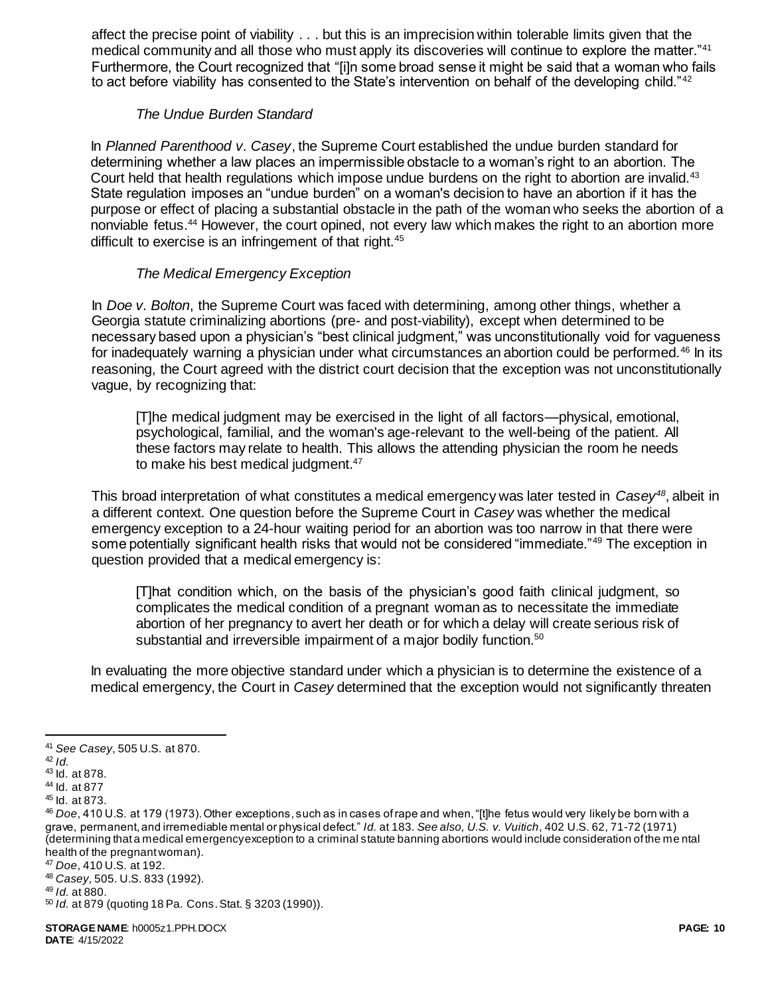affect the precise point of viability . . . but this is an imprecision within tolerable limits given that the medical community and all those who must apply its discoveries will continue to explore the matter."<sup>41</sup> Furthermore, the Court recognized that "[i]n some broad sense it might be said that a woman who fails to act before viability has consented to the State's intervention on behalf of the developing child."<sup>42</sup>

### *The Undue Burden Standard*

In *Planned Parenthood v. Casey*, the Supreme Court established the undue burden standard for determining whether a law places an impermissible obstacle to a woman's right to an abortion. The Court held that health regulations which impose undue burdens on the right to abortion are invalid.<sup>43</sup> State regulation imposes an "undue burden" on a woman's decision to have an abortion if it has the purpose or effect of placing a substantial obstacle in the path of the woman who seeks the abortion of a nonviable fetus.<sup>44</sup> However, the court opined, not every law which makes the right to an abortion more difficult to exercise is an infringement of that right.<sup>45</sup>

## *The Medical Emergency Exception*

In *Doe v. Bolton*, the Supreme Court was faced with determining, among other things, whether a Georgia statute criminalizing abortions (pre- and post-viability), except when determined to be necessary based upon a physician's "best clinical judgment," was unconstitutionally void for vagueness for inadequately warning a physician under what circumstances an abortion could be performed.<sup>46</sup> In its reasoning, the Court agreed with the district court decision that the exception was not unconstitutionally vague, by recognizing that:

[T]he medical judgment may be exercised in the light of all factors—physical, emotional, psychological, familial, and the woman's age-relevant to the well-being of the patient. All these factors may relate to health. This allows the attending physician the room he needs to make his best medical judgment.<sup>47</sup>

This broad interpretation of what constitutes a medical emergency was later tested in *Casey<sup>48</sup>*, albeit in a different context. One question before the Supreme Court in *Casey* was whether the medical emergency exception to a 24-hour waiting period for an abortion was too narrow in that there were some potentially significant health risks that would not be considered "immediate."<sup>49</sup> The exception in question provided that a medical emergency is:

[T]hat condition which, on the basis of the physician's good faith clinical judgment, so complicates the medical condition of a pregnant woman as to necessitate the immediate abortion of her pregnancy to avert her death or for which a delay will create serious risk of substantial and irreversible impairment of a major bodily function.<sup>50</sup>

In evaluating the more objective standard under which a physician is to determine the existence of a medical emergency, the Court in *Casey* determined that the exception would not significantly threaten

 $\overline{a}$ 

<sup>41</sup> *See Casey*, 505 U.S. at 870.

<sup>42</sup> *Id.*

<sup>43</sup> Id. at 878.

<sup>44</sup> Id. at 877

<sup>45</sup> Id. at 873.

<sup>46</sup> *Doe*, 410 U.S. at 179 (1973). Other exceptions, such as in cases of rape and when, "[t]he fetus would very likely be born with a grave, permanent, and irremediable mental or physical defect." *Id.* at 183. *See also, U.S. v. Vuitich*, 402 U.S. 62, 71-72 (1971) (determining that a medical emergency exception to a criminal statute banning abortions would include consideration of the me ntal health of the pregnant woman).

<sup>47</sup> *Doe*, 410 U.S. at 192.

<sup>48</sup> *Casey*, 505. U.S. 833 (1992).

<sup>49</sup> *Id.* at 880.

<sup>50</sup> *Id.* at 879 (quoting 18 Pa. Cons. Stat. § 3203 (1990)).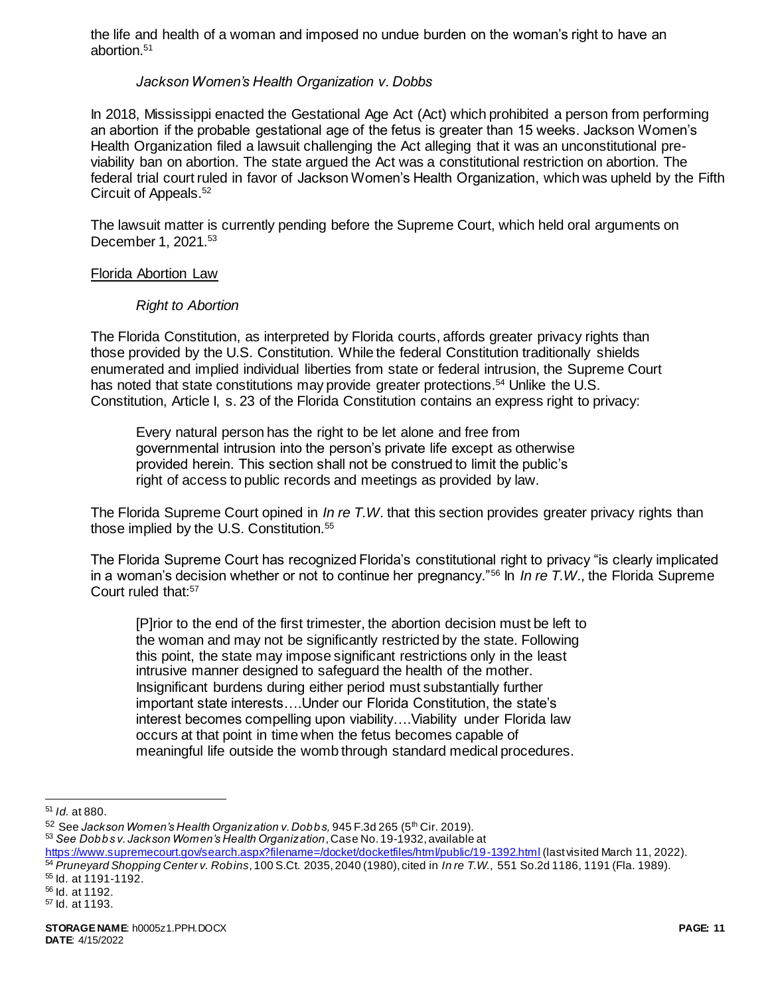the life and health of a woman and imposed no undue burden on the woman's right to have an abortion.<sup>51</sup>

#### *Jackson Women's Health Organization v. Dobbs*

In 2018, Mississippi enacted the Gestational Age Act (Act) which prohibited a person from performing an abortion if the probable gestational age of the fetus is greater than 15 weeks. Jackson Women's Health Organization filed a lawsuit challenging the Act alleging that it was an unconstitutional previability ban on abortion. The state argued the Act was a constitutional restriction on abortion. The federal trial court ruled in favor of Jackson Women's Health Organization, which was upheld by the Fifth Circuit of Appeals.<sup>52</sup>

The lawsuit matter is currently pending before the Supreme Court, which held oral arguments on December 1, 2021.<sup>53</sup>

#### Florida Abortion Law

#### *Right to Abortion*

The Florida Constitution, as interpreted by Florida courts, affords greater privacy rights than those provided by the U.S. Constitution. While the federal Constitution traditionally shields enumerated and implied individual liberties from state or federal intrusion, the Supreme Court has noted that state constitutions may provide greater protections.<sup>54</sup> Unlike the U.S. Constitution, Article I, s. 23 of the Florida Constitution contains an express right to privacy:

Every natural person has the right to be let alone and free from governmental intrusion into the person's private life except as otherwise provided herein. This section shall not be construed to limit the public's right of access to public records and meetings as provided by law.

The Florida Supreme Court opined in *In re T.W.* that this section provides greater privacy rights than those implied by the U.S. Constitution.<sup>55</sup>

The Florida Supreme Court has recognized Florida's constitutional right to privacy "is clearly implicated in a woman's decision whether or not to continue her pregnancy."<sup>56</sup> In *In re T.W.,* the Florida Supreme Court ruled that:<sup>57</sup>

[P]rior to the end of the first trimester, the abortion decision must be left to the woman and may not be significantly restricted by the state. Following this point, the state may impose significant restrictions only in the least intrusive manner designed to safeguard the health of the mother. Insignificant burdens during either period must substantially further important state interests….Under our Florida Constitution, the state's interest becomes compelling upon viability….Viability under Florida law occurs at that point in time when the fetus becomes capable of meaningful life outside the womb through standard medical procedures.

l <sup>51</sup> *Id.* at 880.

<sup>&</sup>lt;sup>52</sup> See Jackson Women's Health Organization v. Dobbs, 945 F.3d 265 (5<sup>th</sup> Cir. 2019).

<sup>53</sup> *See Dobbs v. Jackson Women's Health Organization*, Case No. 19-1932, available at

<https://www.supremecourt.gov/search.aspx?filename=/docket/docketfiles/html/public/19-1392.html> (last visited March 11, 2022). <sup>54</sup> *Pruneyard Shopping Center v. Robins*, 100 S.Ct. 2035, 2040 (1980), cited in *In re T.W.*, 551 So.2d 1186, 1191 (Fla. 1989). <sup>55</sup> Id. at 1191-1192.

<sup>56</sup> Id. at 1192.

<sup>57</sup> Id. at 1193.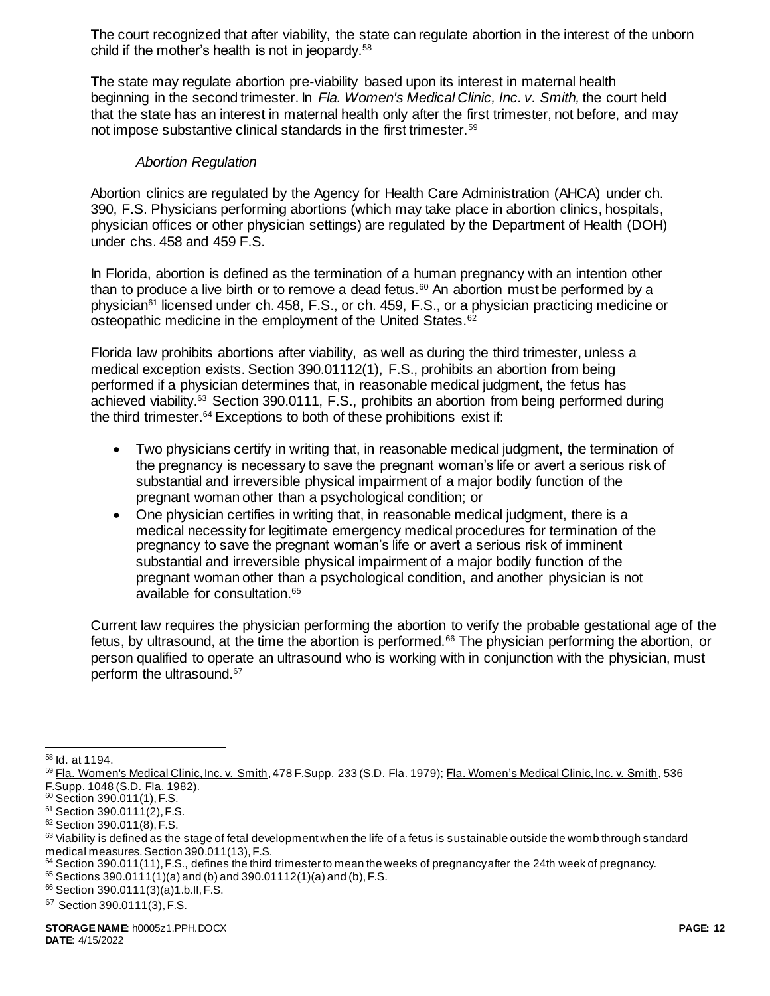The court recognized that after viability, the state can regulate abortion in the interest of the unborn child if the mother's health is not in jeopardy.<sup>58</sup>

The state may regulate abortion pre-viability based upon its interest in maternal health beginning in the second trimester. In *Fla. Women's Medical Clinic, Inc. v. Smith,* the court held that the state has an interest in maternal health only after the first trimester, not before, and may not impose substantive clinical standards in the first trimester.<sup>59</sup>

#### *Abortion Regulation*

Abortion clinics are regulated by the Agency for Health Care Administration (AHCA) under ch. 390, F.S. Physicians performing abortions (which may take place in abortion clinics, hospitals, physician offices or other physician settings) are regulated by the Department of Health (DOH) under chs. 458 and 459 F.S.

In Florida, abortion is defined as the termination of a human pregnancy with an intention other than to produce a live birth or to remove a dead fetus.<sup>60</sup> An abortion must be performed by a physician<sup>61</sup> licensed under ch. 458, F.S., or ch. 459, F.S., or a physician practicing medicine or osteopathic medicine in the employment of the United States.<sup>62</sup>

Florida law prohibits abortions after viability, as well as during the third trimester, unless a medical exception exists. Section 390.01112(1), F.S., prohibits an abortion from being performed if a physician determines that, in reasonable medical judgment, the fetus has achieved viability.<sup>63</sup> Section 390.0111, F.S., prohibits an abortion from being performed during the third trimester.<sup>64</sup> Exceptions to both of these prohibitions exist if:

- Two physicians certify in writing that, in reasonable medical judgment, the termination of the pregnancy is necessary to save the pregnant woman's life or avert a serious risk of substantial and irreversible physical impairment of a major bodily function of the pregnant woman other than a psychological condition; or
- One physician certifies in writing that, in reasonable medical judgment, there is a medical necessity for legitimate emergency medical procedures for termination of the pregnancy to save the pregnant woman's life or avert a serious risk of imminent substantial and irreversible physical impairment of a major bodily function of the pregnant woman other than a psychological condition, and another physician is not available for consultation.<sup>65</sup>

Current law requires the physician performing the abortion to verify the probable gestational age of the fetus, by ultrasound, at the time the abortion is performed.<sup>66</sup> The physician performing the abortion, or person qualified to operate an ultrasound who is working with in conjunction with the physician, must perform the ultrasound.<sup>67</sup>

 $\overline{a}$ <sup>58</sup> Id. at 1194.

<sup>59</sup> Fla. Women's Medical Clinic, Inc. v. Smith, 478 F.Supp. 233 (S.D. Fla. 1979); Fla. Women's Medical Clinic, Inc. v. Smith, 536 F.Supp. 1048 (S.D. Fla. 1982).

<sup>60</sup> Section 390.011(1), F.S.

 $61$  Section 390.0111(2), F.S.

<sup>62</sup> Section 390.011(8), F.S.

 $63$  Viability is defined as the stage of fetal development when the life of a fetus is sustainable outside the womb through standard medical measures. Section 390.011(13), F.S.

 $64$  Section 390.011(11), F.S., defines the third trimester to mean the weeks of pregnancy after the 24th week of pregnancy.  $65$  Sections 390.0111(1)(a) and (b) and 390.01112(1)(a) and (b), F.S.

<sup>66</sup> Section 390.0111(3)(a)1.b.II, F.S.

<sup>67</sup> Section 390.0111(3), F.S.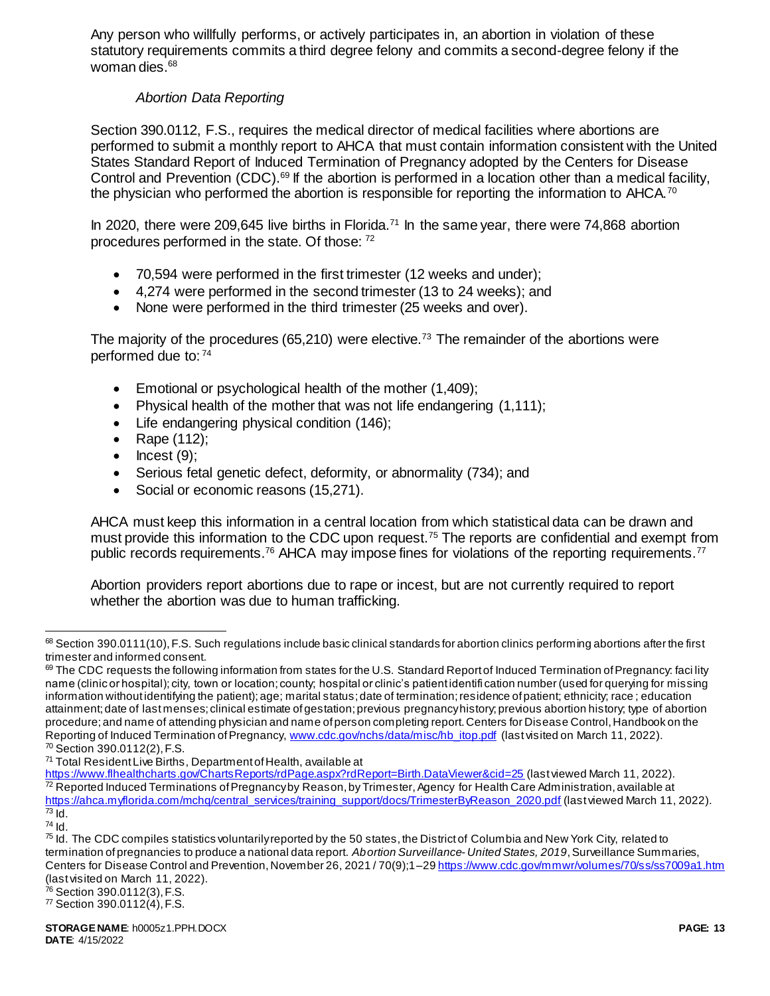Any person who willfully performs, or actively participates in, an abortion in violation of these statutory requirements commits a third degree felony and commits a second-degree felony if the woman dies.<sup>68</sup>

## *Abortion Data Reporting*

Section 390.0112, F.S., requires the medical director of medical facilities where abortions are performed to submit a monthly report to AHCA that must contain information consistent with the United States Standard Report of Induced Termination of Pregnancy adopted by the Centers for Disease Control and Prevention (CDC).<sup>69</sup> If the abortion is performed in a location other than a medical facility, the physician who performed the abortion is responsible for reporting the information to AHCA.<sup>70</sup>

In 2020, there were 209,645 live births in Florida.<sup>71</sup> In the same year, there were 74,868 abortion procedures performed in the state. Of those: <sup>72</sup>

- 70,594 were performed in the first trimester (12 weeks and under);
- 4,274 were performed in the second trimester (13 to 24 weeks); and
- None were performed in the third trimester (25 weeks and over).

The majority of the procedures (65,210) were elective.<sup>73</sup> The remainder of the abortions were performed due to: <sup>74</sup>

- **Emotional or psychological health of the mother (1,409);**
- Physical health of the mother that was not life endangering (1,111);
- Life endangering physical condition (146);
- Rape (112);
- $\bullet$  Incest (9);
- Serious fetal genetic defect, deformity, or abnormality (734); and
- Social or economic reasons (15,271).

AHCA must keep this information in a central location from which statistical data can be drawn and must provide this information to the CDC upon request.<sup>75</sup> The reports are confidential and exempt from public records requirements.<sup>76</sup> AHCA may impose fines for violations of the reporting requirements.<sup>77</sup>

Abortion providers report abortions due to rape or incest, but are not currently required to report whether the abortion was due to human trafficking.

 $\overline{a}$  $68$  Section 390.0111(10), F.S. Such regulations include basic clinical standards for abortion clinics performing abortions after the first trimester and informed consent.

 $69$  The CDC requests the following information from states for the U.S. Standard Report of Induced Termination of Pregnancy: faci lity name (clinic or hospital); city, town or location; county; hospital or clinic's patient identifi cation number (used for querying for missing information without identifying the patient); age; marital status; date of termination; residence of patient; ethnicity; race ; education attainment; date of last menses; clinical estimate of gestation; previous pregnancy history; previous abortion history; type of abortion procedure; and name of attending physician and name of person completing report. Centers for Disease Control, Handbook on the Reporting of Induced Termination of Pregnancy[, www.cdc.gov/nchs/data/misc/hb\\_itop.pdf](http://www.cdc.gov/nchs/data/misc/hb_itop.pdf) (last visited on March 11, 2022). <sup>70</sup> Section 390.0112(2), F.S.

<sup>&</sup>lt;sup>71</sup> Total Resident Live Births, Department of Health, available at

<https://www.flhealthcharts.gov/ChartsReports/rdPage.aspx?rdReport=Birth.DataViewer&cid=25> (last viewed March 11, 2022).  $72$  Reported Induced Terminations of Pregnancyby Reason, by Trimester, Agency for Health Care Administration, available at [https://ahca.myflorida.com/mchq/central\\_services/training\\_support/docs/TrimesterByReason\\_2020.pdf](https://ahca.myflorida.com/mchq/central_services/training_support/docs/TrimesterByReason_2020.pdf) (last viewed March 11, 2022).  $73$  Id.

<sup>74</sup> Id.

<sup>&</sup>lt;sup>75</sup> Id. The CDC compiles statistics voluntarily reported by the 50 states, the District of Columbia and New York City, related to termination of pregnancies to produce a national data report. *Abortion Surveillance- United States, 2019*, Surveillance Summaries, Centers for Disease Control and Prevention, November 26, 2021 / 70(9);1-2[9 https://www.cdc.gov/mmwr/volumes/70/ss/ss7009a1.htm](https://www.cdc.gov/mmwr/volumes/70/ss/ss7009a1.htm) (last visited on March 11, 2022).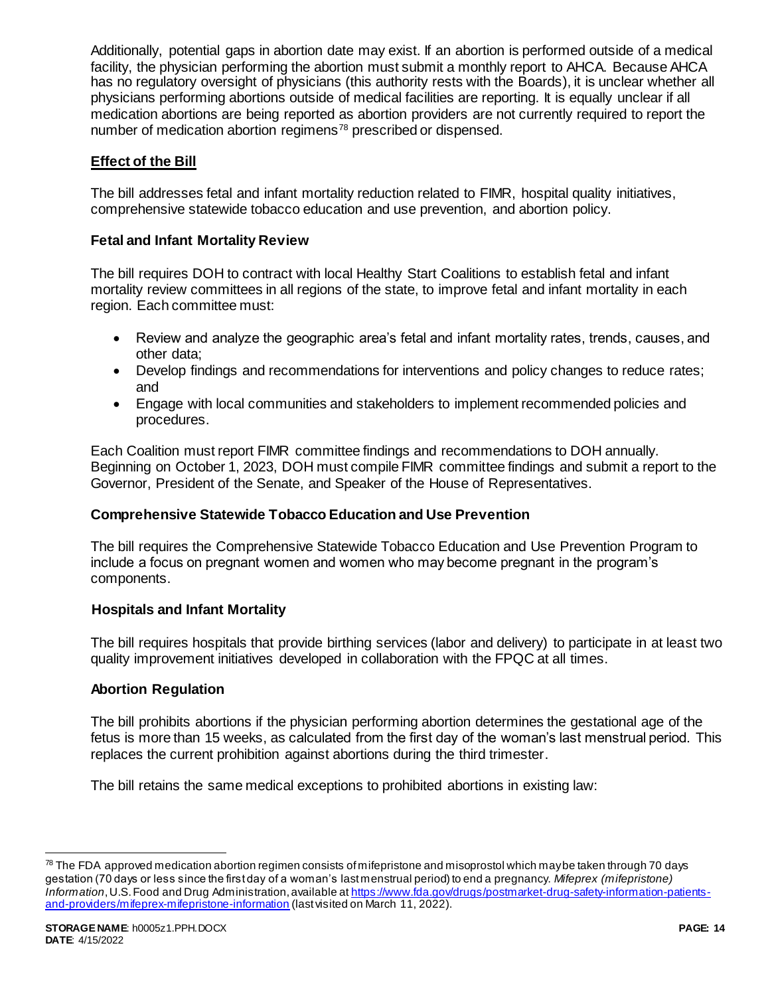Additionally, potential gaps in abortion date may exist. If an abortion is performed outside of a medical facility, the physician performing the abortion must submit a monthly report to AHCA. Because AHCA has no regulatory oversight of physicians (this authority rests with the Boards), it is unclear whether all physicians performing abortions outside of medical facilities are reporting. It is equally unclear if all medication abortions are being reported as abortion providers are not currently required to report the number of medication abortion regimens<sup>78</sup> prescribed or dispensed.

## **Effect of the Bill**

The bill addresses fetal and infant mortality reduction related to FIMR, hospital quality initiatives, comprehensive statewide tobacco education and use prevention, and abortion policy.

### **Fetal and Infant Mortality Review**

The bill requires DOH to contract with local Healthy Start Coalitions to establish fetal and infant mortality review committees in all regions of the state, to improve fetal and infant mortality in each region. Each committee must:

- Review and analyze the geographic area's fetal and infant mortality rates, trends, causes, and other data;
- Develop findings and recommendations for interventions and policy changes to reduce rates; and
- Engage with local communities and stakeholders to implement recommended policies and procedures.

Each Coalition must report FIMR committee findings and recommendations to DOH annually. Beginning on October 1, 2023, DOH must compile FIMR committee findings and submit a report to the Governor, President of the Senate, and Speaker of the House of Representatives.

### **Comprehensive Statewide Tobacco Education and Use Prevention**

The bill requires the Comprehensive Statewide Tobacco Education and Use Prevention Program to include a focus on pregnant women and women who may become pregnant in the program's components.

### **Hospitals and Infant Mortality**

The bill requires hospitals that provide birthing services (labor and delivery) to participate in at least two quality improvement initiatives developed in collaboration with the FPQC at all times.

### **Abortion Regulation**

The bill prohibits abortions if the physician performing abortion determines the gestational age of the fetus is more than 15 weeks, as calculated from the first day of the woman's last menstrual period. This replaces the current prohibition against abortions during the third trimester.

The bill retains the same medical exceptions to prohibited abortions in existing law:

j

 $78$  The FDA approved medication abortion regimen consists of mifepristone and misoprostol which may be taken through 70 days gestation (70 days or less since the first day of a woman's last menstrual period) to end a pregnancy. *Mifeprex (mifepristone) Information*, U.S. Food and Drug Administration, available a[t https://www.fda.gov/drugs/postmarket-drug-safety-information-patients](https://www.fda.gov/drugs/postmarket-drug-safety-information-patients-and-providers/mifeprex-mifepristone-information)[and-providers/mifeprex-mifepristone-information](https://www.fda.gov/drugs/postmarket-drug-safety-information-patients-and-providers/mifeprex-mifepristone-information) (last visited on March 11, 2022).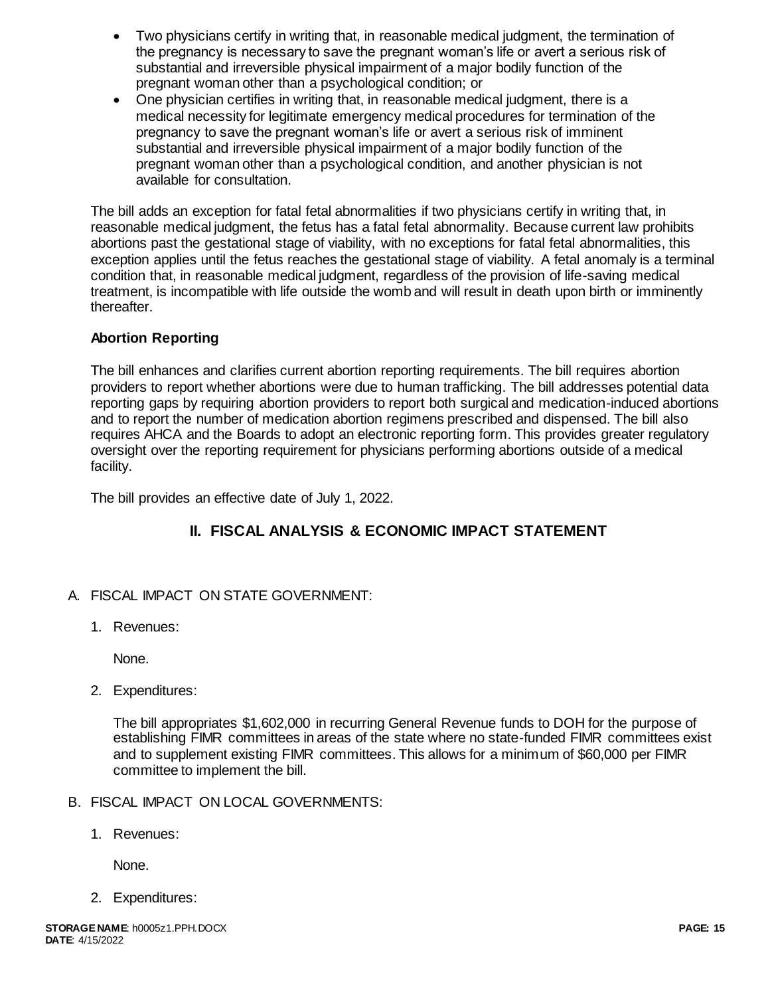- Two physicians certify in writing that, in reasonable medical judgment, the termination of the pregnancy is necessary to save the pregnant woman's life or avert a serious risk of substantial and irreversible physical impairment of a major bodily function of the pregnant woman other than a psychological condition; or
- One physician certifies in writing that, in reasonable medical judgment, there is a medical necessity for legitimate emergency medical procedures for termination of the pregnancy to save the pregnant woman's life or avert a serious risk of imminent substantial and irreversible physical impairment of a major bodily function of the pregnant woman other than a psychological condition, and another physician is not available for consultation.

The bill adds an exception for fatal fetal abnormalities if two physicians certify in writing that, in reasonable medical judgment, the fetus has a fatal fetal abnormality. Because current law prohibits abortions past the gestational stage of viability, with no exceptions for fatal fetal abnormalities, this exception applies until the fetus reaches the gestational stage of viability. A fetal anomaly is a terminal condition that, in reasonable medical judgment, regardless of the provision of life-saving medical treatment, is incompatible with life outside the womb and will result in death upon birth or imminently thereafter.

## **Abortion Reporting**

The bill enhances and clarifies current abortion reporting requirements. The bill requires abortion providers to report whether abortions were due to human trafficking. The bill addresses potential data reporting gaps by requiring abortion providers to report both surgical and medication-induced abortions and to report the number of medication abortion regimens prescribed and dispensed. The bill also requires AHCA and the Boards to adopt an electronic reporting form. This provides greater regulatory oversight over the reporting requirement for physicians performing abortions outside of a medical facility.

The bill provides an effective date of July 1, 2022.

# **II. FISCAL ANALYSIS & ECONOMIC IMPACT STATEMENT**

- A. FISCAL IMPACT ON STATE GOVERNMENT:
	- 1. Revenues:

None.

2. Expenditures:

The bill appropriates \$1,602,000 in recurring General Revenue funds to DOH for the purpose of establishing FIMR committees in areas of the state where no state-funded FIMR committees exist and to supplement existing FIMR committees. This allows for a minimum of \$60,000 per FIMR committee to implement the bill.

- B. FISCAL IMPACT ON LOCAL GOVERNMENTS:
	- 1. Revenues:

None.

2. Expenditures: